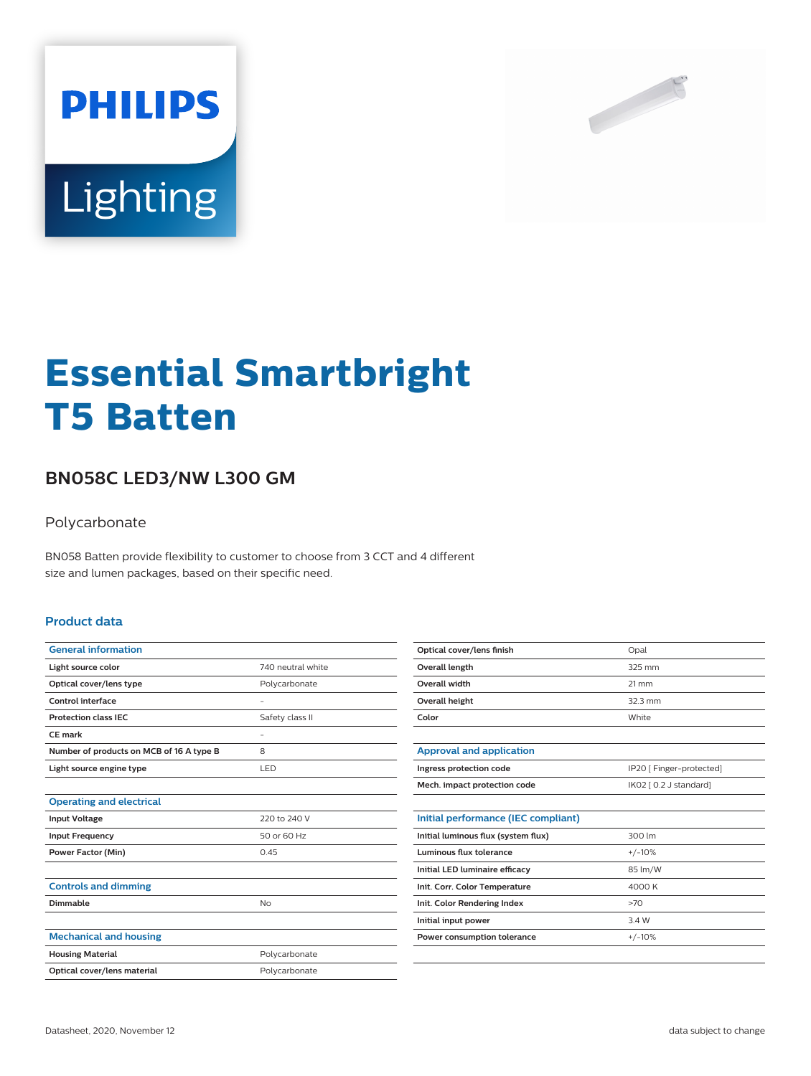



# **Essential Smartbright T5 Batten**

## **BN058C LED3/NW L300 GM**

#### Polycarbonate

BN058 Batten provide flexibility to customer to choose from 3 CCT and 4 different size and lumen packages, based on their specific need.

#### **Product data**

| 740 neutral white        |
|--------------------------|
| Polycarbonate            |
| ۰                        |
| Safety class II          |
| $\overline{\phantom{0}}$ |
| 8                        |
| LED                      |
|                          |
|                          |
| 220 to 240 V             |
| 50 or 60 Hz              |
| 0.45                     |
|                          |
|                          |
| No                       |
|                          |
|                          |
| Polycarbonate            |
| Polycarbonate            |
|                          |

| Opal              |
|-------------------|
| 325 mm            |
| $21 \, \text{mm}$ |
| $32.3$ mm         |
| White             |
|                   |

| Approval and application     |                          |
|------------------------------|--------------------------|
| Ingress protection code      | IP20 [ Finger-protected] |
| Mech. impact protection code | IK02 [ 0.2 J standard]   |

| 300 lm   |
|----------|
| $+/-10%$ |
| 85 lm/W  |
| 4000 K   |
| >70      |
| 3.4 W    |
| $+/-10%$ |
|          |